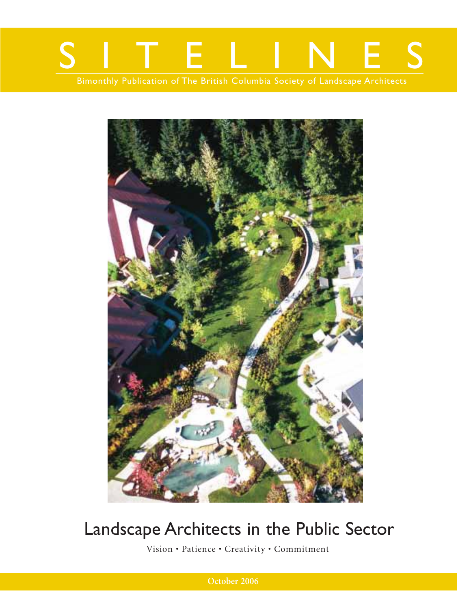



# Landscape Architects in the Public Sector

Vision • Patience • Creativity • Commitment

**October 2006**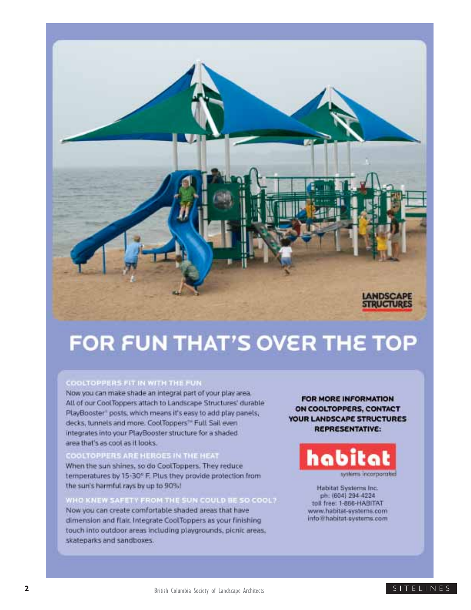

# FOR FUN THAT'S OVER THE TOP

#### COOLTOPPERS FIT IN WITH THE FUN

Now you can make shade an integral part of your play area. All of our CoolToppers attach to Landscape Structures' durable PlayBooster® posts, which means it's easy to add play panels, decks, tunnels and more. CoolToppers<sup>to</sup> Full Sail even integrates into your PlayBooster structure for a shaded. area that's as cool as it looks.

#### **OOLTOPPERS ARE HEROES IN THE HEAT**

When the sun shines, so do CoolToppers. They reduce temperatures by 15-30° F. Plus they provide protection from the sun's harmful rays by up to 90%!

### WHO KNEW SAFETY FROM THE SUN COULD BE SO COOL?

Now you can create comfortable shaded areas that have dimension and flair. Integrate CoolToppers as your finishing touch into outdoor areas including playgrounds, picnic areas, skateparks and sandboxes.

FOR MORE INFORMATION ON COOLTOPPERS, CONTACT **YOUR LANDSCAPE STRUCTURES REPRESENTATIVE:** 



Habitat Systems Inc. ph. (604) 294-4224 toll free: 1-866-HABITAT www.habitat-systems.com info@habitat-systems.com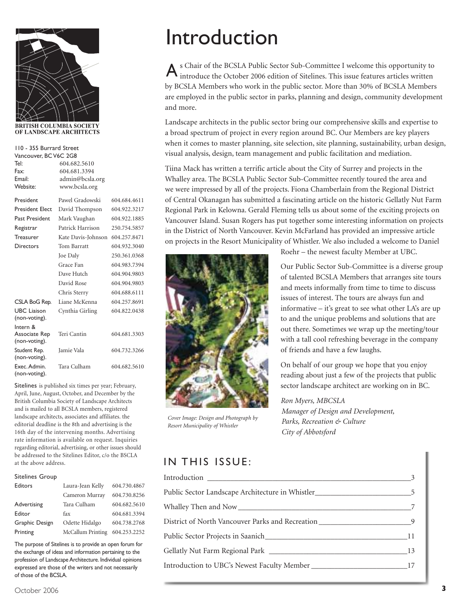

OF LANDSCAPE ARCHITECTS

| 110 - 355 Burrard Street            |                    |              |  |  |
|-------------------------------------|--------------------|--------------|--|--|
| Vancouver, BC V6C 2G8               |                    |              |  |  |
| Tel:                                | 604.682.5610       |              |  |  |
| Fax:                                | 604.681.3394       |              |  |  |
| Fmail:                              | admin@bcsla.org    |              |  |  |
| Website:                            | www.bcsla.org      |              |  |  |
| President                           | Pawel Gradowski    | 604.684.4611 |  |  |
| <b>President Elect</b>              | David Thompson     | 604.922.3217 |  |  |
| Past President                      | Mark Vaughan       | 604.922.1885 |  |  |
| Registrar                           | Patrick Harrison   | 250.754.5857 |  |  |
| <b>Treasurer</b>                    | Kate Davis-Johnson | 604.257.8471 |  |  |
| Directors                           | Tom Barratt        | 604.932.3040 |  |  |
|                                     | Joe Daly           | 250.361.0368 |  |  |
|                                     | Grace Fan          | 604.983.7394 |  |  |
|                                     | Dave Hutch         | 604.904.9803 |  |  |
|                                     | David Rose         | 604.904.9803 |  |  |
|                                     | Chris Sterry       | 604.688.6111 |  |  |
| CSLA BoG Rep.                       | Liane McKenna      | 604.257.8691 |  |  |
| <b>UBC</b> Liaison<br>(non-voting). | Cynthia Girling    | 604.822.0438 |  |  |
| Intern &                            |                    |              |  |  |
| Associate Rep                       | Teri Cantin        | 604.681.3303 |  |  |
| (non-voting).                       |                    |              |  |  |
| Student Rep.<br>(non-voting).       | Jamie Vala         | 604.732.3266 |  |  |
| Exec. Admin.<br>(non-voting).       | Tara Culham        | 604.682.5610 |  |  |

Sitelines is published six times per year; February, April, June, August, October, and December by the British Columbia Society of Landscape Architects and is mailed to all BCSLA members, registered landscape architects, associates and affiliates. the editorial deadline is the 8th and advertising is the 16th day of the intervening months. Advertising rate information is available on request. Inquiries regarding editorial, advertising, or other issues should be addressed to the Sitelines Editor, c/o the BSCLA at the above address.

#### Sitelines Group

| Editors        | Laura-Jean Kelly  | 604.730.4867 |
|----------------|-------------------|--------------|
|                | Cameron Murray    | 604.730.8256 |
| Advertising    | Tara Culham       | 604.682.5610 |
| Editor         | fax               | 604.681.3394 |
| Graphic Design | Odette Hidalgo    | 604.738.2768 |
| Printing       | McCallum Printing | 604.253.2252 |

The purpose of Sitelines is to provide an open forum for the exchange of ideas and information pertaining to the profession of Landscape Architecture. Individual opinions expressed are those of the writers and not necessarily of those of the BCSLA.

# Introduction

s Chair of the BCSLA Public Sector Sub-Committee I welcome this opportunity to A s Chair of the BCSLA Public Sector Sub-Committee I welcome this opportunity to introduce the October 2006 edition of Sitelines. This issue features articles written by BCSLA Members who work in the public sector. More than 30% of BCSLA Members are employed in the public sector in parks, planning and design, community development and more.

Landscape architects in the public sector bring our comprehensive skills and expertise to a broad spectrum of project in every region around BC. Our Members are key players when it comes to master planning, site selection, site planning, sustainability, urban design, visual analysis, design, team management and public facilitation and mediation.

Tiina Mack has written a terrific article about the City of Surrey and projects in the Whalley area. The BCSLA Public Sector Sub-Committee recently toured the area and we were impressed by all of the projects. Fiona Chamberlain from the Regional District of Central Okanagan has submitted a fascinating article on the historic Gellatly Nut Farm Regional Park in Kelowna. Gerald Fleming tells us about some of the exciting projects on Vancouver Island. Susan Rogers has put together some interesting information on projects in the District of North Vancouver. Kevin McFarland has provided an impressive article on projects in the Resort Municipality of Whistler. We also included a welcome to Daniel



*Cover Image: Design and Photograph by Resort Municipality of Whistler*

Roehr – the newest faculty Member at UBC.

Our Public Sector Sub-Committee is a diverse group of talented BCSLA Members that arranges site tours and meets informally from time to time to discuss issues of interest. The tours are always fun and informative – it's great to see what other LA's are up to and the unique problems and solutions that are out there. Sometimes we wrap up the meeting/tour with a tall cool refreshing beverage in the company of friends and have a few laughs.

On behalf of our group we hope that you enjoy reading about just a few of the projects that public sector landscape architect are working on in BC.

### *Ron Myers, MBCSLA*

*Manager of Design and Development, Parks, Recreation & Culture City of Abbotsford* 

### IN THIS ISSUE:

| Public Sector Landscape Architecture in Whistler                                   |  |
|------------------------------------------------------------------------------------|--|
|                                                                                    |  |
| District of North Vancouver Parks and Recreation ________________________________9 |  |
|                                                                                    |  |
|                                                                                    |  |
| Introduction to UBC's Newest Faculty Member ___________________________________17  |  |
|                                                                                    |  |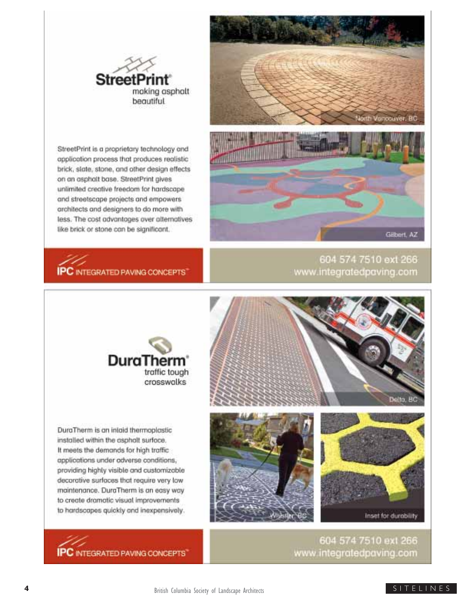

StreetPrint is a proprietary technology and opplication process that produces realistic brick, slate, stone, and other design effects on an asphalt base. StreetPrint aives unlimited creative freedom for hardscape and streetscape projects and empowers architects and designers to do more with less. The cost advantages over alternatives like brick or stone can be significant.



# **IPC** INTEGRATED PAVING CONCEPTS

604 574 7510 ext 266 www.integratedpaving.com



DuraTherm is an inigid thermoplastic installed within the asphalt surface. It meets the demands for high traffic applications under adverse conditions, providing highly visible and customizable decorative surfaces that require very low maintenance. DuraTherm is an easy way to create dramatic visual improvements to hardscapes quickly and inexpensively.

**IPC** INTEGRATED PAVING CONCEPTS







604 574 7510 ext 266 www.integratedpaving.com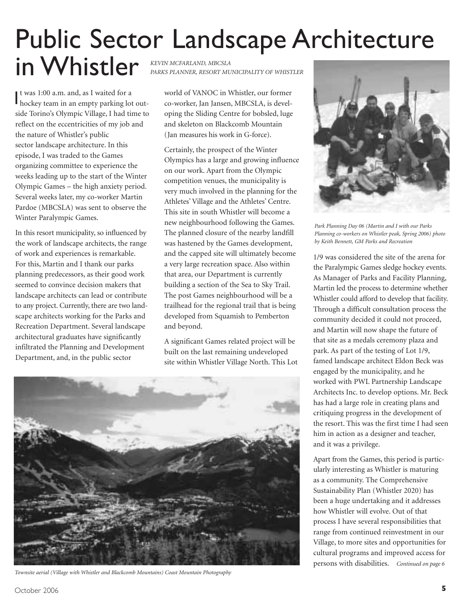# Public Sector Landscape Architecture

in Whistler *KEVIN MCFARLAND, MBCSLA* 

t was 1:00 a.m. and, as I waited for a It was 1:00 a.m. and, as I waited for a<br>hockey team in an empty parking lot outside Torino's Olympic Village, I had time to reflect on the eccentricities of my job and the nature of Whistler's public sector landscape architecture. In this episode, I was traded to the Games organizing committee to experience the weeks leading up to the start of the Winter Olympic Games – the high anxiety period. Several weeks later, my co-worker Martin Pardoe (MBCSLA) was sent to observe the Winter Paralympic Games.

In this resort municipality, so influenced by the work of landscape architects, the range of work and experiences is remarkable. For this, Martin and I thank our parks planning predecessors, as their good work seemed to convince decision makers that landscape architects can lead or contribute to any project. Currently, there are two landscape architects working for the Parks and Recreation Department. Several landscape architectural graduates have significantly infiltrated the Planning and Development Department, and, in the public sector

*PARKS PLANNER, RESORT MUNICIPALITY OF WHISTLER*

world of VANOC in Whistler, our former co-worker, Jan Jansen, MBCSLA, is developing the Sliding Centre for bobsled, luge and skeleton on Blackcomb Mountain (Jan measures his work in G-force).

Certainly, the prospect of the Winter Olympics has a large and growing influence on our work. Apart from the Olympic competition venues, the municipality is very much involved in the planning for the Athletes' Village and the Athletes' Centre. This site in south Whistler will become a new neighbourhood following the Games. The planned closure of the nearby landfill was hastened by the Games development, and the capped site will ultimately become a very large recreation space. Also within that area, our Department is currently building a section of the Sea to Sky Trail. The post Games neighbourhood will be a trailhead for the regional trail that is being developed from Squamish to Pemberton and beyond.

A significant Games related project will be built on the last remaining undeveloped site within Whistler Village North. This Lot



*Townsite aerial (Village with Whistler and Blackcomb Mountains) Coast Mountain Photography*



*Park Planning Day 06 (Martin and I with our Parks Planning co-workers on Whistler peak, Spring 2006) photo by Keith Bennett, GM Parks and Recreation*

1/9 was considered the site of the arena for the Paralympic Games sledge hockey events. As Manager of Parks and Facility Planning, Martin led the process to determine whether Whistler could afford to develop that facility. Through a difficult consultation process the community decided it could not proceed, and Martin will now shape the future of that site as a medals ceremony plaza and park. As part of the testing of Lot 1/9, famed landscape architect Eldon Beck was engaged by the municipality, and he worked with PWL Partnership Landscape Architects Inc. to develop options. Mr. Beck has had a large role in creating plans and critiquing progress in the development of the resort. This was the first time I had seen him in action as a designer and teacher, and it was a privilege.

Apart from the Games, this period is particularly interesting as Whistler is maturing as a community. The Comprehensive Sustainability Plan (Whistler 2020) has been a huge undertaking and it addresses how Whistler will evolve. Out of that process I have several responsibilities that range from continued reinvestment in our Village, to more sites and opportunities for cultural programs and improved access for persons with disabilities. *Continued on page 6*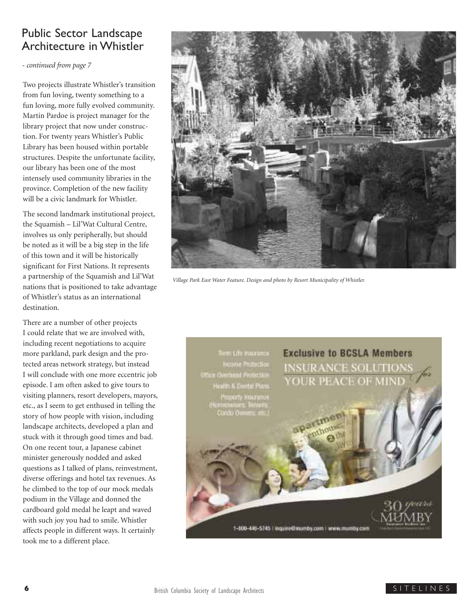## Public Sector Landscape Architecture in Whistler

*- continued from page 7*

Two projects illustrate Whistler's transition from fun loving, twenty something to a fun loving, more fully evolved community. Martin Pardoe is project manager for the library project that now under construction. For twenty years Whistler's Public Library has been housed within portable structures. Despite the unfortunate facility, our library has been one of the most intensely used community libraries in the province. Completion of the new facility will be a civic landmark for Whistler.

The second landmark institutional project, the Squamish – Lil'Wat Cultural Centre, involves us only peripherally, but should be noted as it will be a big step in the life of this town and it will be historically significant for First Nations. It represents a partnership of the Squamish and Lil'Wat nations that is positioned to take advantage of Whistler's status as an international destination.

There are a number of other projects I could relate that we are involved with, including recent negotiations to acquire more parkland, park design and the protected areas network strategy, but instead I will conclude with one more eccentric job episode. I am often asked to give tours to visiting planners, resort developers, mayors, etc., as I seem to get enthused in telling the story of how people with vision, including landscape architects, developed a plan and stuck with it through good times and bad. On one recent tour, a Japanese cabinet minister generously nodded and asked questions as I talked of plans, reinvestment, diverse offerings and hotel tax revenues. As he climbed to the top of our mock medals podium in the Village and donned the cardboard gold medal he leapt and waved with such joy you had to smile. Whistler affects people in different ways. It certainly took me to a different place.



*Village Park East Water Feature. Design and photo by Resort Municipality of Whistler.*

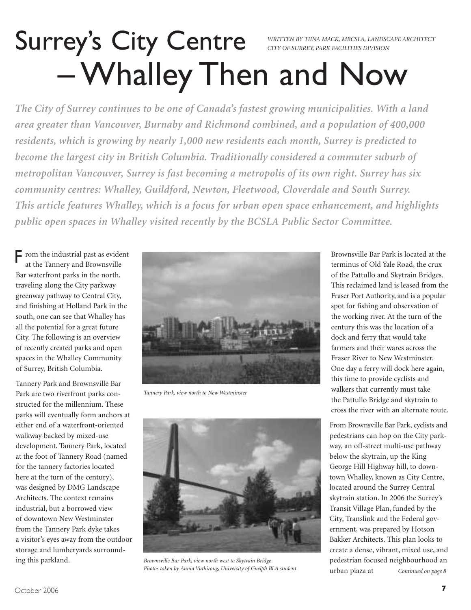# Surrey's City Centre – Whalley Then and Now *WRITTEN BY TIINA MACK, MBCSLA, LANDSCAPE ARCHITECT CITY OF SURREY, PARK FACILITIES DIVISION*

*The City of Surrey continues to be one of Canada's fastest growing municipalities. With a land area greater than Vancouver, Burnaby and Richmond combined, and a population of 400,000 residents, which is growing by nearly 1,000 new residents each month, Surrey is predicted to become the largest city in British Columbia. Traditionally considered a commuter suburb of metropolitan Vancouver, Surrey is fast becoming a metropolis of its own right. Surrey has six community centres: Whalley, Guildford, Newton, Fleetwood, Cloverdale and South Surrey. This article features Whalley, which is a focus for urban open space enhancement, and highlights public open spaces in Whalley visited recently by the BCSLA Public Sector Committee.*

F rom the industrial past as evident<br>at the Tannery and Brownsville at the Tannery and Brownsville Bar waterfront parks in the north, traveling along the City parkway greenway pathway to Central City, and finishing at Holland Park in the south, one can see that Whalley has all the potential for a great future City. The following is an overview of recently created parks and open spaces in the Whalley Community of Surrey, British Columbia.

Tannery Park and Brownsville Bar Park are two riverfront parks constructed for the millennium. These parks will eventually form anchors at either end of a waterfront-oriented walkway backed by mixed-use development. Tannery Park, located at the foot of Tannery Road (named for the tannery factories located here at the turn of the century), was designed by DMG Landscape Architects. The context remains industrial, but a borrowed view of downtown New Westminster from the Tannery Park dyke takes a visitor's eyes away from the outdoor storage and lumberyards surrounding this parkland.



*Tannery Park, view north to New Westminster*



*Brownsville Bar Park, view north west to Skytrain Bridge Photos taken by Annia Vuthirong, University of Guelph BLA student*

Brownsville Bar Park is located at the terminus of Old Yale Road, the crux of the Pattullo and Skytrain Bridges. This reclaimed land is leased from the Fraser Port Authority, and is a popular spot for fishing and observation of the working river. At the turn of the century this was the location of a dock and ferry that would take farmers and their wares across the Fraser River to New Westminster. One day a ferry will dock here again, this time to provide cyclists and walkers that currently must take the Pattullo Bridge and skytrain to cross the river with an alternate route.

From Brownsville Bar Park, cyclists and pedestrians can hop on the City parkway, an off-street multi-use pathway below the skytrain, up the King George Hill Highway hill, to downtown Whalley, known as City Centre, located around the Surrey Central skytrain station. In 2006 the Surrey's Transit Village Plan, funded by the City, Translink and the Federal government, was prepared by Hotson Bakker Architects. This plan looks to create a dense, vibrant, mixed use, and pedestrian focused neighbourhood an urban plaza at *Continued on page 8*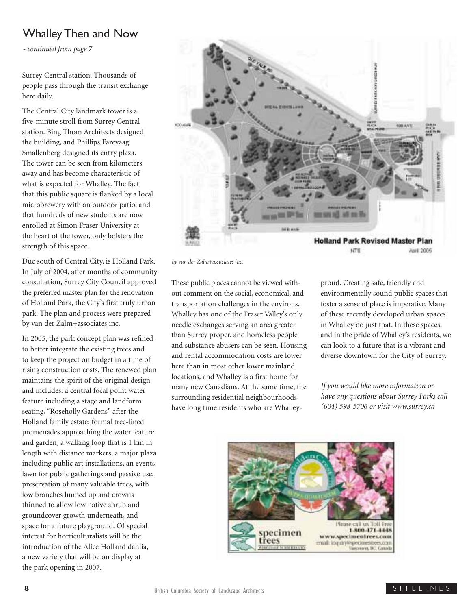## Whalley Then and Now

*- continued from page 7*

Surrey Central station. Thousands of people pass through the transit exchange here daily.

The Central City landmark tower is a five-minute stroll from Surrey Central station. Bing Thom Architects designed the building, and Phillips Farevaag Smallenberg designed its entry plaza. The tower can be seen from kilometers away and has become characteristic of what is expected for Whalley. The fact that this public square is flanked by a local microbrewery with an outdoor patio, and that hundreds of new students are now enrolled at Simon Fraser University at the heart of the tower, only bolsters the strength of this space.

Due south of Central City, is Holland Park. In July of 2004, after months of community consultation, Surrey City Council approved the preferred master plan for the renovation of Holland Park, the City's first truly urban park. The plan and process were prepared by van der Zalm+associates inc.

In 2005, the park concept plan was refined to better integrate the existing trees and to keep the project on budget in a time of rising construction costs. The renewed plan maintains the spirit of the original design and includes: a central focal point water feature including a stage and landform seating, "Roseholly Gardens" after the Holland family estate; formal tree-lined promenades approaching the water feature and garden, a walking loop that is 1 km in length with distance markers, a major plaza including public art installations, an events lawn for public gatherings and passive use, preservation of many valuable trees, with low branches limbed up and crowns thinned to allow low native shrub and groundcover growth underneath, and space for a future playground. Of special interest for horticulturalists will be the introduction of the Alice Holland dahlia, a new variety that will be on display at the park opening in 2007.



*by van der Zalm+associates inc.*

These public places cannot be viewed without comment on the social, economical, and transportation challenges in the environs. Whalley has one of the Fraser Valley's only needle exchanges serving an area greater than Surrey proper, and homeless people and substance abusers can be seen. Housing and rental accommodation costs are lower here than in most other lower mainland locations, and Whalley is a first home for many new Canadians. At the same time, the surrounding residential neighbourhoods have long time residents who are Whalleyproud. Creating safe, friendly and environmentally sound public spaces that foster a sense of place is imperative. Many of these recently developed urban spaces in Whalley do just that. In these spaces, and in the pride of Whalley's residents, we can look to a future that is a vibrant and diverse downtown for the City of Surrey.

*If you would like more information or have any questions about Surrey Parks call (604) 598-5706 or visit www.surrey.ca*

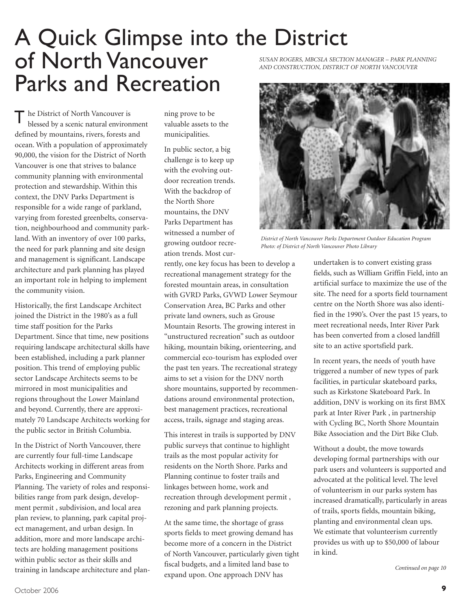# A Quick Glimpse into the District of North Vancouver Parks and Recreation

The District of North Vancouver is<br>blessed by a scenic natural enviror blessed by a scenic natural environment defined by mountains, rivers, forests and ocean. With a population of approximately 90,000, the vision for the District of North Vancouver is one that strives to balance community planning with environmental protection and stewardship. Within this context, the DNV Parks Department is responsible for a wide range of parkland, varying from forested greenbelts, conservation, neighbourhood and community parkland. With an inventory of over 100 parks, the need for park planning and site design and management is significant. Landscape architecture and park planning has played an important role in helping to implement the community vision.

Historically, the first Landscape Architect joined the District in the 1980's as a full time staff position for the Parks Department. Since that time, new positions requiring landscape architectural skills have been established, including a park planner position. This trend of employing public sector Landscape Architects seems to be mirrored in most municipalities and regions throughout the Lower Mainland and beyond. Currently, there are approximately 70 Landscape Architects working for the public sector in British Columbia.

In the District of North Vancouver, there are currently four full-time Landscape Architects working in different areas from Parks, Engineering and Community Planning. The variety of roles and responsibilities range from park design, development permit , subdivision, and local area plan review, to planning, park capital project management, and urban design. In addition, more and more landscape architects are holding management positions within public sector as their skills and training in landscape architecture and planning prove to be valuable assets to the municipalities.

In public sector, a big challenge is to keep up with the evolving outdoor recreation trends. With the backdrop of the North Shore mountains, the DNV Parks Department has witnessed a number of growing outdoor recreation trends. Most cur-

rently, one key focus has been to develop a recreational management strategy for the forested mountain areas, in consultation with GVRD Parks, GVWD Lower Seymour Conservation Area, BC Parks and other private land owners, such as Grouse Mountain Resorts. The growing interest in "unstructured recreation" such as outdoor hiking, mountain biking, orienteering, and commercial eco-tourism has exploded over the past ten years. The recreational strategy aims to set a vision for the DNV north shore mountains, supported by recommendations around environmental protection, best management practices, recreational access, trails, signage and staging areas.

This interest in trails is supported by DNV public surveys that continue to highlight trails as the most popular activity for residents on the North Shore. Parks and Planning continue to foster trails and linkages between home, work and recreation through development permit , rezoning and park planning projects.

At the same time, the shortage of grass sports fields to meet growing demand has become more of a concern in the District of North Vancouver, particularly given tight fiscal budgets, and a limited land base to expand upon. One approach DNV has

*SUSAN ROGERS, MBCSLA SECTION MANAGER – PARK PLANNING AND CONSTRUCTION, DISTRICT OF NORTH VANCOUVER* 



*District of North Vancouver Parks Department Outdoor Education Program Photo: of District of North Vancouver Photo Library*

undertaken is to convert existing grass fields, such as William Griffin Field, into an artificial surface to maximize the use of the site. The need for a sports field tournament centre on the North Shore was also identified in the 1990's. Over the past 15 years, to meet recreational needs, Inter River Park has been converted from a closed landfill site to an active sportsfield park.

In recent years, the needs of youth have triggered a number of new types of park facilities, in particular skateboard parks, such as Kirkstone Skateboard Park. In addition, DNV is working on its first BMX park at Inter River Park , in partnership with Cycling BC, North Shore Mountain Bike Association and the Dirt Bike Club.

Without a doubt, the move towards developing formal partnerships with our park users and volunteers is supported and advocated at the political level. The level of volunteerism in our parks system has increased dramatically, particularly in areas of trails, sports fields, mountain biking, planting and environmental clean ups. We estimate that volunteerism currently provides us with up to \$50,000 of labour in kind.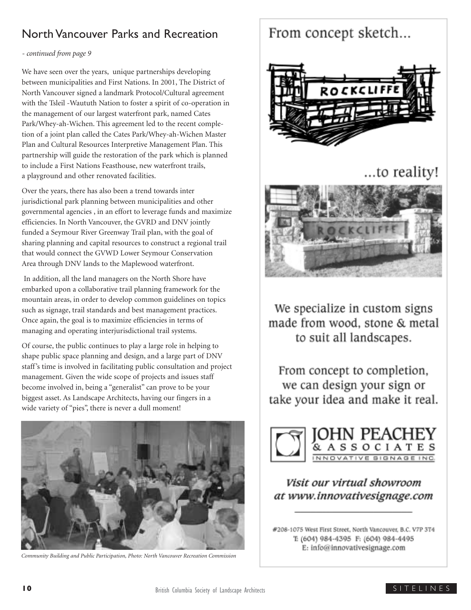## North Vancouver Parks and Recreation

### *- continued from page 9*

We have seen over the years, unique partnerships developing between municipalities and First Nations. In 2001, The District of North Vancouver signed a landmark Protocol/Cultural agreement with the Tsleil -Waututh Nation to foster a spirit of co-operation in the management of our largest waterfront park, named Cates Park/Whey-ah-Wichen. This agreement led to the recent completion of a joint plan called the Cates Park/Whey-ah-Wichen Master Plan and Cultural Resources Interpretive Management Plan. This partnership will guide the restoration of the park which is planned to include a First Nations Feasthouse, new waterfront trails, a playground and other renovated facilities.

Over the years, there has also been a trend towards inter jurisdictional park planning between municipalities and other governmental agencies , in an effort to leverage funds and maximize efficiencies. In North Vancouver, the GVRD and DNV jointly funded a Seymour River Greenway Trail plan, with the goal of sharing planning and capital resources to construct a regional trail that would connect the GVWD Lower Seymour Conservation Area through DNV lands to the Maplewood waterfront.

In addition, all the land managers on the North Shore have embarked upon a collaborative trail planning framework for the mountain areas, in order to develop common guidelines on topics such as signage, trail standards and best management practices. Once again, the goal is to maximize efficiencies in terms of managing and operating interjurisdictional trail systems.

Of course, the public continues to play a large role in helping to shape public space planning and design, and a large part of DNV staff's time is involved in facilitating public consultation and project management. Given the wide scope of projects and issues staff become involved in, being a "generalist" can prove to be your biggest asset. As Landscape Architects, having our fingers in a wide variety of "pies", there is never a dull moment!



*Community Building and Public Participation, Photo: North Vancouver Recreation Commission*

## From concept sketch...



## ...to reality!



We specialize in custom signs made from wood, stone & metal to suit all landscapes.

From concept to completion, we can design your sign or take your idea and make it real.



### Visit our virtual showroom at www.innovativesignage.com

#208-1075 West First Street, North Vancouver, B.C. V7P 3T4 T: (604) 984-4395 F: (604) 984-4495 E: info@innovativesignage.com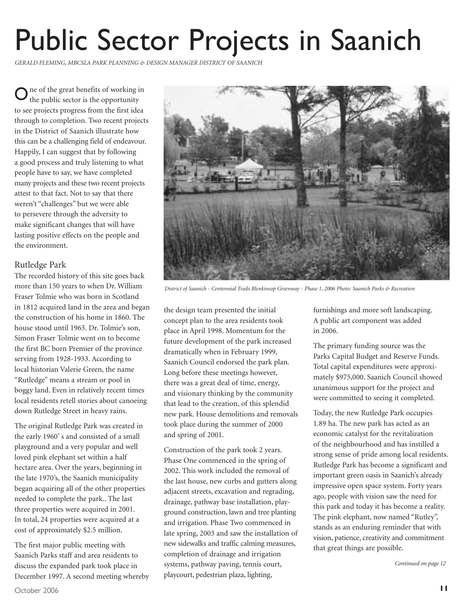# Public Sector Projects in Saanich

*GERALD FLEMING, MBCSLA PARK PLANNING & DESIGN MANAGER DISTRICT OF SAANICH*

ne of the great benefits of working in the public sector is the opportunity to see projects progress from the first idea through to completion. Two recent projects in the District of Saanich illustrate how this can be a challenging field of endeavour. Happily, I can suggest that by following a good process and truly listening to what people have to say, we have completed many projects and these two recent projects attest to that fact. Not to say that there weren't "challenges" but we were able to persevere through the adversity to make significant changes that will have lasting positive effects on the people and the environment. O

### Rutledge Park

The recorded history of this site goes back more than 150 years to when Dr. William Fraser Tolmie who was born in Scotland in 1812 acquired land in the area and began the construction of his home in 1860. The house stood until 1963. Dr. Tolmie's son, Simon Fraser Tolmie went on to become the first BC born Premier of the province serving from 1928-1933. According to local historian Valerie Green, the name "Rutledge" means a stream or pool in boggy land. Even in relatively recent times local residents retell stories about canoeing down Rutledge Street in heavy rains.

The original Rutledge Park was created in the early 1960' s and consisted of a small playground and a very popular and well loved pink elephant set within a half hectare area. Over the years, beginning in the late 1970's, the Saanich municipality began acquiring all of the other properties needed to complete the park.. The last three properties were acquired in 2001. In total, 24 properties were acquired at a cost of approximately \$2.5 million.

The first major public meeting with Saanich Parks staff and area residents to discuss the expanded park took place in December 1997. A second meeting whereby



*District of Saanich - Centennial Trails Blenkinsop Greenway - Phase 1, 2006 Photo: Saanich Parks & Recreation*

the design team presented the initial concept plan to the area residents took place in April 1998. Momentum for the future development of the park increased dramatically when in February 1999, Saanich Council endorsed the park plan. Long before these meetings however, there was a great deal of time, energy, and visionary thinking by the community that lead to the creation, of this splendid new park. House demolitions and removals took place during the summer of 2000 and spring of 2001.

Construction of the park took 2 years. Phase One commenced in the spring of 2002. This work included the removal of the last house, new curbs and gutters along adjacent streets, excavation and regrading, drainage, pathway base installation, playground construction, lawn and tree planting and irrigation. Phase Two commenced in late spring, 2003 and saw the installation of new sidewalks and traffic calming measures, completion of drainage and irrigation systems, pathway paving, tennis court, playcourt, pedestrian plaza, lighting,

furnishings and more soft landscaping. A public art component was added in 2006.

The primary funding source was the Parks Capital Budget and Reserve Funds. Total capital expenditures were approximately \$975,000. Saanich Council showed unanimous support for the project and were committed to seeing it completed.

Today, the new Rutledge Park occupies 1.89 ha. The new park has acted as an economic catalyst for the revitalization of the neighbourhood and has instilled a strong sense of pride among local residents. Rutledge Park has become a significant and important green oasis in Saanich's already impressive open space system. Forty years ago, people with vision saw the need for this park and today it has become a reality. The pink elephant, now named "Rutley", stands as an enduring reminder that with vision, patience, creativity and commitment that great things are possible.

*Continued on page 12*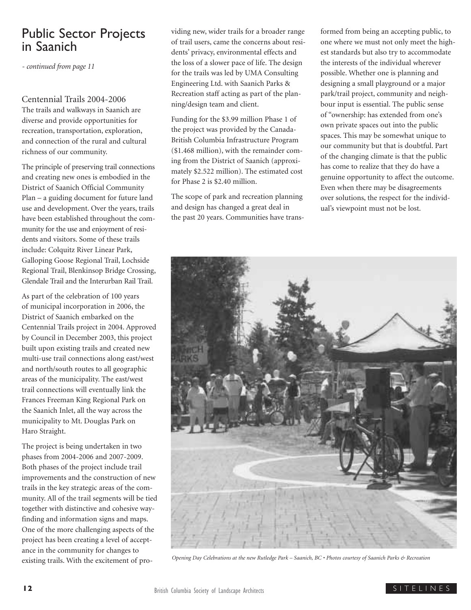## Public Sector Projects in Saanich

*- continued from page 11*

### Centennial Trails 2004-2006

The trails and walkways in Saanich are diverse and provide opportunities for recreation, transportation, exploration, and connection of the rural and cultural richness of our community.

The principle of preserving trail connections and creating new ones is embodied in the District of Saanich Official Community Plan – a guiding document for future land use and development. Over the years, trails have been established throughout the community for the use and enjoyment of residents and visitors. Some of these trails include: Colquitz River Linear Park, Galloping Goose Regional Trail, Lochside Regional Trail, Blenkinsop Bridge Crossing, Glendale Trail and the Interurban Rail Trail.

As part of the celebration of 100 years of municipal incorporation in 2006, the District of Saanich embarked on the Centennial Trails project in 2004. Approved by Council in December 2003, this project built upon existing trails and created new multi-use trail connections along east/west and north/south routes to all geographic areas of the municipality. The east/west trail connections will eventually link the Frances Freeman King Regional Park on the Saanich Inlet, all the way across the municipality to Mt. Douglas Park on Haro Straight.

The project is being undertaken in two phases from 2004-2006 and 2007-2009. Both phases of the project include trail improvements and the construction of new trails in the key strategic areas of the community. All of the trail segments will be tied together with distinctive and cohesive wayfinding and information signs and maps. One of the more challenging aspects of the project has been creating a level of acceptance in the community for changes to existing trails. With the excitement of providing new, wider trails for a broader range of trail users, came the concerns about residents' privacy, environmental effects and the loss of a slower pace of life. The design for the trails was led by UMA Consulting Engineering Ltd. with Saanich Parks & Recreation staff acting as part of the planning/design team and client.

Funding for the \$3.99 million Phase 1 of the project was provided by the Canada-British Columbia Infrastructure Program (\$1.468 million), with the remainder coming from the District of Saanich (approximately \$2.522 million). The estimated cost for Phase 2 is \$2.40 million.

The scope of park and recreation planning and design has changed a great deal in the past 20 years. Communities have transformed from being an accepting public, to one where we must not only meet the highest standards but also try to accommodate the interests of the individual wherever possible. Whether one is planning and designing a small playground or a major park/trail project, community and neighbour input is essential. The public sense of "ownership: has extended from one's own private spaces out into the public spaces. This may be somewhat unique to our community but that is doubtful. Part of the changing climate is that the public has come to realize that they do have a genuine opportunity to affect the outcome. Even when there may be disagreements over solutions, the respect for the individual's viewpoint must not be lost.



*Opening Day Celebrations at the new Rutledge Park – Saanich, BC • Photos courtesy of Saanich Parks & Recreation*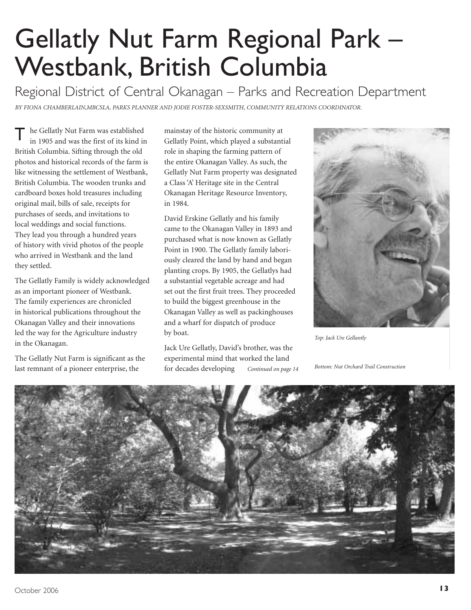# Gellatly Nut Farm Regional Park – Westbank, British Columbia

Regional District of Central Okanagan – Parks and Recreation Department

*BY FIONA CHAMBERLAIN,MBCSLA, PARKS PLANNER AND JODIE FOSTER-SEXSMITH, COMMUNITY RELATIONS COORDINATOR.*

The Gellatly Nut Farm was established<br>in 1905 and was the first of its kind is in 1905 and was the first of its kind in British Columbia. Sifting through the old photos and historical records of the farm is like witnessing the settlement of Westbank, British Columbia. The wooden trunks and cardboard boxes hold treasures including original mail, bills of sale, receipts for purchases of seeds, and invitations to local weddings and social functions. They lead you through a hundred years of history with vivid photos of the people who arrived in Westbank and the land they settled.

The Gellatly Family is widely acknowledged as an important pioneer of Westbank. The family experiences are chronicled in historical publications throughout the Okanagan Valley and their innovations led the way for the Agriculture industry in the Okanagan.

The Gellatly Nut Farm is significant as the last remnant of a pioneer enterprise, the

mainstay of the historic community at Gellatly Point, which played a substantial role in shaping the farming pattern of the entire Okanagan Valley. As such, the Gellatly Nut Farm property was designated a Class 'A' Heritage site in the Central Okanagan Heritage Resource Inventory, in 1984.

David Erskine Gellatly and his family came to the Okanagan Valley in 1893 and purchased what is now known as Gellatly Point in 1900. The Gellatly family laboriously cleared the land by hand and began planting crops. By 1905, the Gellatlys had a substantial vegetable acreage and had set out the first fruit trees. They proceeded to build the biggest greenhouse in the Okanagan Valley as well as packinghouses and a wharf for dispatch of produce by boat.

Jack Ure Gellatly, David's brother, was the experimental mind that worked the land for decades developing *Continued on page 14*



*Top: Jack Ure Gellantly*

*Bottom: Nut Orchard Trail Construction*

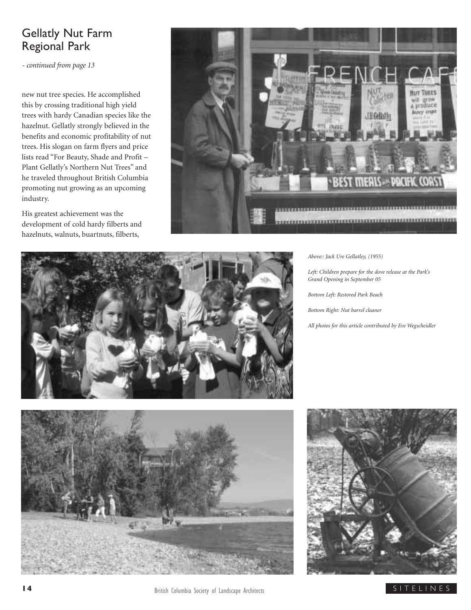## Gellatly Nut Farm Regional Park

*- continued from page 13*

new nut tree species. He accomplished this by crossing traditional high yield trees with hardy Canadian species like the hazelnut. Gellatly strongly believed in the benefits and economic profitability of nut trees. His slogan on farm flyers and price lists read "For Beauty, Shade and Profit – Plant Gellatly's Northern Nut Trees" and he traveled throughout British Columbia promoting nut growing as an upcoming industry.

His greatest achievement was the development of cold hardy filberts and hazelnuts, walnuts, buartnuts, filberts,





*Above:: Jack Ure Gellatley, (1955)*

*Left: Children prepare for the dove release at the Park's Grand Opening in September 05*

*Bottom Left: Restored Park Beach*

*Bottom Right: Nut barrel cleaner*

*All photos for this article contributed by Eve Wegscheidler*



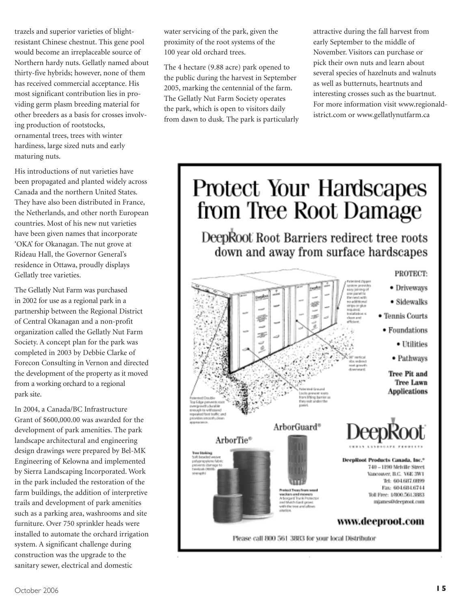trazels and superior varieties of blightresistant Chinese chestnut. This gene pool would become an irreplaceable source of Northern hardy nuts. Gellatly named about thirty-five hybrids; however, none of them has received commercial acceptance. His most significant contribution lies in providing germ plasm breeding material for other breeders as a basis for crosses involving production of rootstocks, ornamental trees, trees with winter hardiness, large sized nuts and early maturing nuts.

His introductions of nut varieties have been propagated and planted widely across Canada and the northern United States. They have also been distributed in France, the Netherlands, and other north European countries. Most of his new nut varieties have been given names that incorporate 'OKA' for Okanagan. The nut grove at Rideau Hall, the Governor General's residence in Ottawa, proudly displays Gellatly tree varieties.

The Gellatly Nut Farm was purchased in 2002 for use as a regional park in a partnership between the Regional District of Central Okanagan and a non-profit organization called the Gellatly Nut Farm Society. A concept plan for the park was completed in 2003 by Debbie Clarke of Forecon Consulting in Vernon and directed the development of the property as it moved from a working orchard to a regional park site.

In 2004, a Canada/BC Infrastructure Grant of \$600,000.00 was awarded for the development of park amenities. The park landscape architectural and engineering design drawings were prepared by Bel-MK Engineering of Kelowna and implemented by Sierra Landscaping Incorporated. Work in the park included the restoration of the farm buildings, the addition of interpretive trails and development of park amenities such as a parking area, washrooms and site furniture. Over 750 sprinkler heads were installed to automate the orchard irrigation system. A significant challenge during construction was the upgrade to the sanitary sewer, electrical and domestic

water servicing of the park, given the proximity of the root systems of the 100 year old orchard trees.

The 4 hectare (9.88 acre) park opened to the public during the harvest in September 2005, marking the centennial of the farm. The Gellatly Nut Farm Society operates the park, which is open to visitors daily from dawn to dusk. The park is particularly attractive during the fall harvest from early September to the middle of November. Visitors can purchase or pick their own nuts and learn about several species of hazelnuts and walnuts as well as butternuts, heartnuts and interesting crosses such as the buartnut. For more information visit www.regionaldistrict.com or www.gellatlynutfarm.ca

# Protect Your Hardscapes from Tree Root Damage

DeepRoot Root Barriers redirect tree roots down and away from surface hardscapes

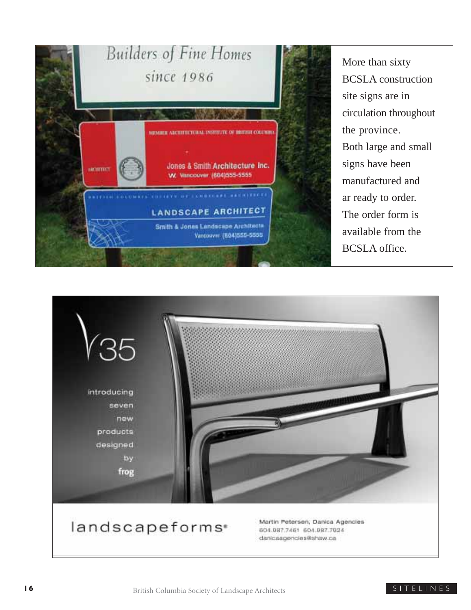

More than sixty BCSLA construction site signs are in circulation throughout the province. Both large and small signs have been manufactured and ar ready to order. The order form is available from the BCSLA office.



# landscapeforms<sup>®</sup>

Martin Petersen, Danica Agencies 604.987.7461 604.987.7024 danicaagencies@shaw.ca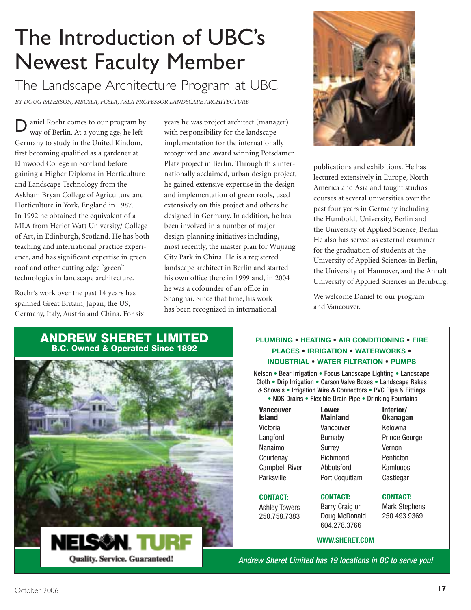# The Introduction of UBC's Newest Faculty Member

# The Landscape Architecture Program at UBC

*BY DOUG PATERSON, MBCSLA, FCSLA, ASLA PROFESSOR LANDSCAPE ARCHITECTURE*

aniel Roehr comes to our program by way of Berlin. At a young age, he left Germany to study in the United Kindom, first becoming qualified as a gardener at Elmwood College in Scotland before gaining a Higher Diploma in Horticulture and Landscape Technology from the Askham Bryan College of Agriculture and Horticulture in York, England in 1987. In 1992 he obtained the equivalent of a MLA from Heriot Watt University/ College of Art, in Edinburgh, Scotland. He has both teaching and international practice experience, and has significant expertise in green roof and other cutting edge "green" technologies in landscape architecture. D

Roehr's work over the past 14 years has spanned Great Britain, Japan, the US, Germany, Italy, Austria and China. For six years he was project architect (manager) with responsibility for the landscape implementation for the internationally recognized and award winning Potsdamer Platz project in Berlin. Through this internationally acclaimed, urban design project, he gained extensive expertise in the design and implementation of green roofs, used extensively on this project and others he designed in Germany. In addition, he has been involved in a number of major design-planning initiatives including, most recently, the master plan for Wujiang City Park in China. He is a registered landscape architect in Berlin and started his own office there in 1999 and, in 2004 he was a cofounder of an office in Shanghai. Since that time, his work has been recognized in international



publications and exhibitions. He has lectured extensively in Europe, North America and Asia and taught studios courses at several universities over the past four years in Germany including the Humboldt University, Berlin and the University of Applied Science, Berlin. He also has served as external examiner for the graduation of students at the University of Applied Sciences in Berlin, the University of Hannover, and the Anhalt University of Applied Sciences in Bernburg.

We welcome Daniel to our program and Vancouver.

### **ANDREW SHERET LIMITED B.C. Owned & Operated Since 1892**



### **PLUMBING • HEATING • AIR CONDITIONING • FIRE PLACES • IRRIGATION • WATERWORKS • INDUSTRIAL • WATER FILTRATION • PUMPS**

Nelson • Bear Irrigation • Focus Landscape Lighting • Landscape Cloth • Drip Irrigation • Carson Valve Boxes • Landscape Rakes & Shovels • Irrigation Wire & Connectors • PVC Pipe & Fittings

• NDS Drains • Flexible Drain Pipe • Drinking Fountains

| Vancouver<br>Island   |
|-----------------------|
| Victoria              |
| Langford              |
| Nanaimo               |
| Courtenay             |
| <b>Campbell River</b> |
| Parksville            |
|                       |

### **CONTACT:**

Ashley Towers 250.758.7383 **Lower Mainland** Vancouver Burnaby Surrey **Richmond** Abbotsford Port Coquitlam

Prince George Vernon Penticton Kamloops Castlegar

**Interior/ Okanagan** Kelowna

#### **CONTACT:** Mark Stephens 250.493.9369

### **WWW.SHERET.COM**

Andrew Sheret Limited has 19 locations in BC to serve you!

**CONTACT:** Barry Craig or Doug McDonald 604.278.3766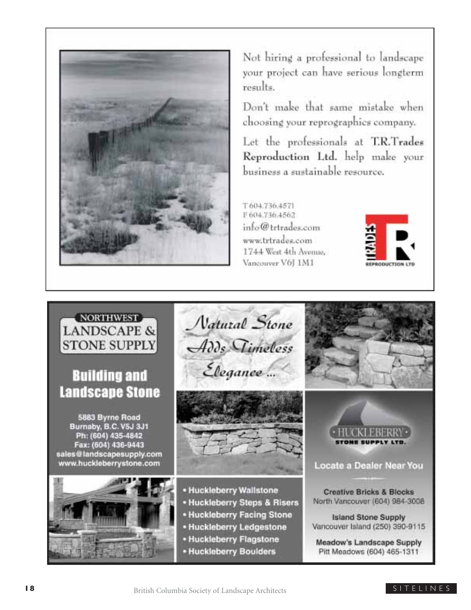

Not hiring a professional to landscape your project can have serious longterm  $results.$ 

Don't make that same mistake when choosing your reprographics company.

Let the professionals at T.R.Trades Reproduction Ltd. help make your business a sustainable resource.

T604.736.4571 F 604.736.4562  $\int_0^\infty$  trivades.com www.trtrades.com 1744 West 4th Avenue. Vancouver V61 1M1



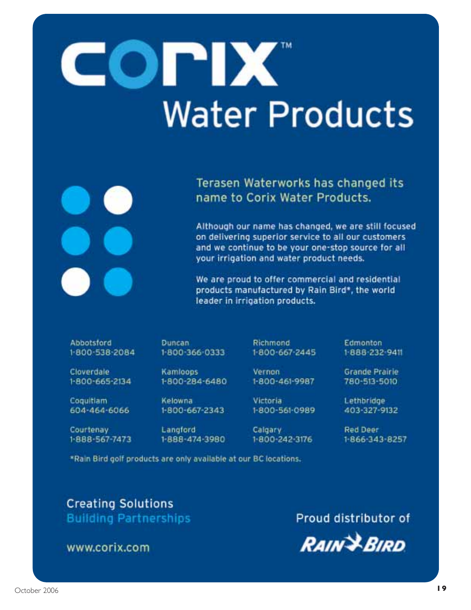# COPIX **Water Products**

Terasen Waterworks has changed its name to Corix Water Products.

Although our name has changed, we are still focused on delivering superior service to all our customers and we continue to be your one-stop source for all your irrigation and water product needs.

We are proud to offer commercial and residential products manufactured by Rain Bird\*, the world leader in irrigation products.

Abbotsford 1-800-538-2084 **Duncan** 1-800-366-0333

Richmond 1-800-667-2445 Edmonton

Cloverdale 1-800-665-2134

**Coquitiam** 604-464-6066

Courtenay 1-888-567-7473 Kamloops 1-800-284-6480

1-800-667-2343

1-888-474-3980

Vernon

1-800-461-9987 **Victoria** 

1-800-561-0989

Calgary 1-800-242-3176 1-888-232-9411

Grande Prairie 780-513-5010

Lethbridge 403-327-9132

Red Deer 1-866-343-8257

\*Rain Bird golf products are only available at our BC locations.

Kelowna

Langford

## **Creating Solutions Building Partnerships**

www.corix.com

Proud distributor of